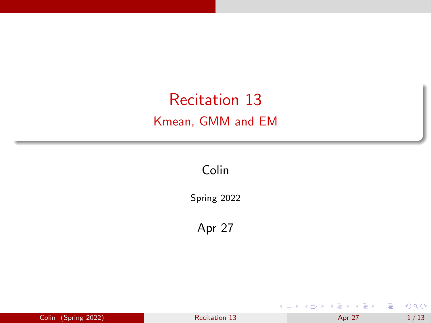# <span id="page-0-0"></span>Recitation 13 Kmean, GMM and EM

Colin

Spring 2022

Apr 27

|  | Colin (Spring 2022) | <b>Recitation 13</b> | Apr 27 | 1/13 |
|--|---------------------|----------------------|--------|------|
|--|---------------------|----------------------|--------|------|

É

 $299$ 

イロト イ部 トイヨ トイヨト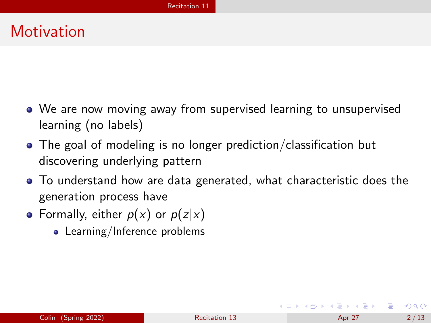## <span id="page-1-0"></span>**Motivation**

- We are now moving away from supervised learning to unsupervised learning (no labels)
- The goal of modeling is no longer prediction/classification but discovering underlying pattern
- To understand how are data generated, what characteristic does the generation process have
- Formally, either  $p(x)$  or  $p(z|x)$ 
	- Learning/Inference problems

 $QQQ$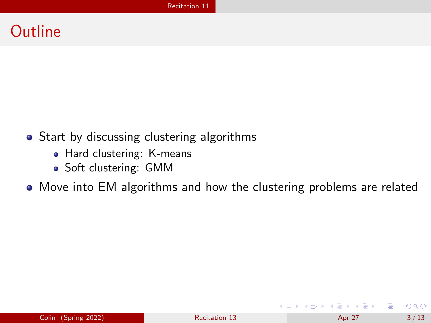### **Outline**

- Start by discussing clustering algorithms
	- Hard clustering: K-means
	- Soft clustering: GMM

• Move into EM algorithms and how the clustering problems are related

 $\Omega$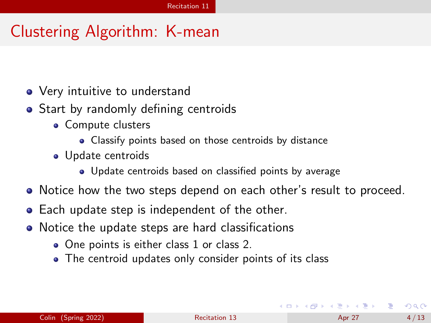# Clustering Algorithm: K-mean

- Very intuitive to understand
- Start by randomly defining centroids
	- Compute clusters
		- Classify points based on those centroids by distance
	- Update centroids
		- Update centroids based on classified points by average
- Notice how the two steps depend on each other's result to proceed.
- Each update step is independent of the other.
- Notice the update steps are hard classifications
	- One points is either class 1 or class 2.
	- The centroid updates only consider points of its class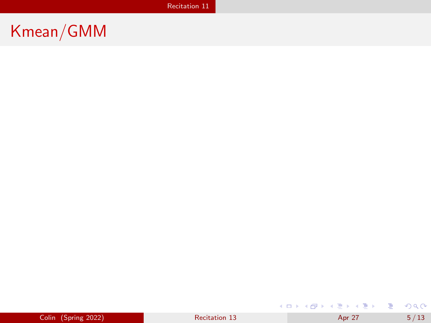# Kmean/GMM

 $QQ$ 

すロト (個) すきトイをトッを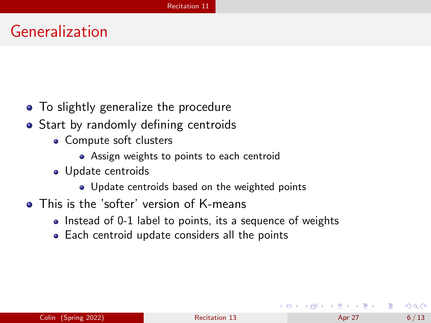#### Generalization

- To slightly generalize the procedure
- Start by randomly defining centroids
	- Compute soft clusters
		- **•** Assign weights to points to each centroid
	- Update centroids
		- Update centroids based on the weighted points
- This is the 'softer' version of K-means
	- Instead of 0-1 label to points, its a sequence of weights
	- Each centroid update considers all the points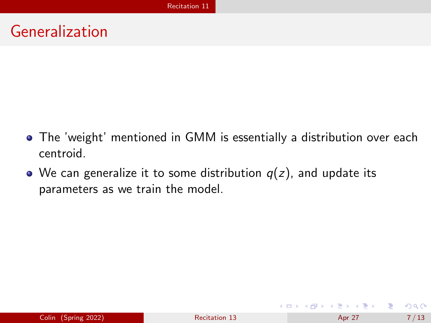# Generalization

- The 'weight' mentioned in GMM is essentially a distribution over each centroid.
- We can generalize it to some distribution  $q(z)$ , and update its parameters as we train the model.

э  $\Omega$ 

イロト イ母 トイヨ トイヨ トー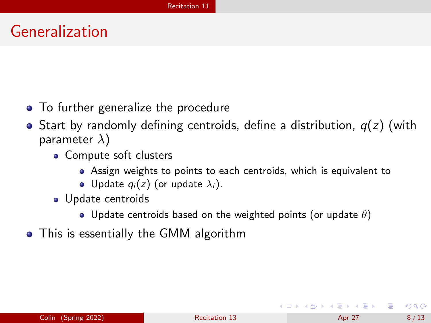#### Generalization

- To further generalize the procedure
- $\bullet$  Start by randomly defining centroids, define a distribution,  $q(z)$  (with parameter  $\lambda$ )
	- Compute soft clusters
		- Assign weights to points to each centroids, which is equivalent to
		- Update  $q_i(z)$  (or update  $\lambda_i$ ).
	- Update centroids
		- Update centroids based on the weighted points (or update  $\theta$ )
- This is essentially the GMM algorithm

 $QQQ$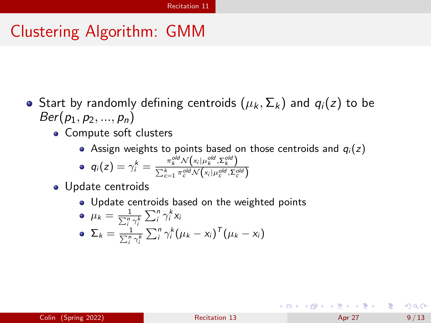# Clustering Algorithm: GMM

- Start by randomly defining centroids  $(\mu_k, \Sigma_k)$  and  $q_i(z)$  to be  $Ber(p_1, p_2, ..., p_n)$ 
	- Compute soft clusters
		- Assign weights to points based on those centroids and  $q_i(z)$

$$
\bullet \quad q_i(z) = \gamma_i^k = \frac{\pi_k^{old} \mathcal{N}(x_i|\mu_k^{old}, \Sigma_k^{old})}{\sum_{c=1}^k \pi_c^{old} \mathcal{N}(x_i|\mu_c^{old}, \Sigma_c^{old})}
$$

- Update centroids
	- Update centroids based on the weighted points

\n- \n
$$
\mu_k = \frac{1}{\sum_{i}^{n} \gamma_i^k} \sum_{i}^{n} \gamma_i^k x_i
$$
\n
\n- \n
$$
\Sigma_k = \frac{1}{\sum_{i}^{n} \gamma_i^k} \sum_{i}^{n} \gamma_i^k (\mu_k - x_i)^T (\mu_k - x_i)
$$
\n
\n

イロト イ押 トイヨ トイヨ トー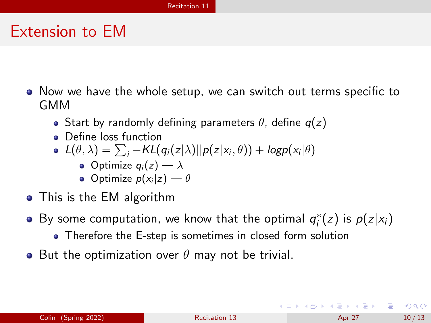#### Extension to EM

- Now we have the whole setup, we can switch out terms specific to GMM
	- Start by randomly defining parameters  $\theta$ , define  $q(z)$
	- Define loss function
	- $L(\theta, \lambda) = \sum_i -KL(q_i(z|\lambda)||p(z|x_i, \theta)) + logp(x_i|\theta)$ 
		- Optimize  $q_i(z) \longrightarrow \lambda$
		- Optimize  $p(x_i|z) \rightarrow \theta$
- This is the EM algorithm
- By some computation, we know that the optimal  $q_i^*(z)$  is  $p(z|x_i)$ 
	- Therefore the E-step is sometimes in closed form solution
- But the optimization over  $\theta$  may not be trivial.

KED KARD KED KED E VOOR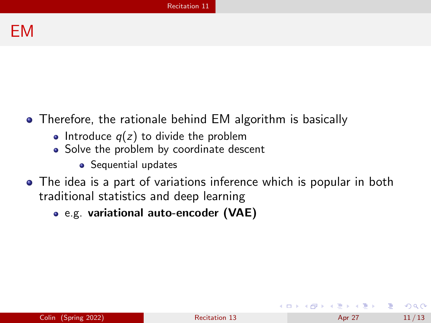#### EM

- Therefore, the rationale behind EM algorithm is basically
	- Introduce  $q(z)$  to divide the problem
	- Solve the problem by coordinate descent
		- Sequential updates
- The idea is a part of variations inference which is popular in both traditional statistics and deep learning
	- e.g. variational auto-encoder (VAE)

 $\Omega$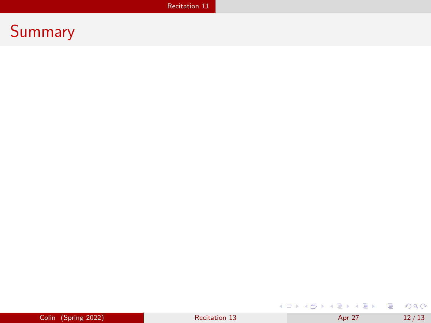## Summary